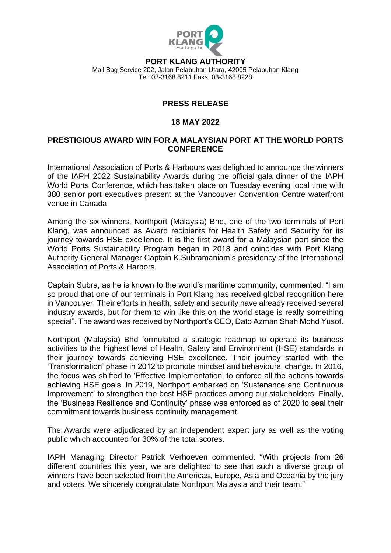

**PORT KLANG AUTHORITY**

Mail Bag Service 202, Jalan Pelabuhan Utara, 42005 Pelabuhan Klang Tel: 03-3168 8211 Faks: 03-3168 8228

## **PRESS RELEASE**

## **18 MAY 2022**

## **PRESTIGIOUS AWARD WIN FOR A MALAYSIAN PORT AT THE WORLD PORTS CONFERENCE**

International Association of Ports & Harbours was delighted to announce the winners of the IAPH 2022 Sustainability Awards during the official gala dinner of the IAPH World Ports Conference, which has taken place on Tuesday evening local time with 380 senior port executives present at the Vancouver Convention Centre waterfront venue in Canada.

Among the six winners, Northport (Malaysia) Bhd, one of the two terminals of Port Klang, was announced as Award recipients for Health Safety and Security for its journey towards HSE excellence. It is the first award for a Malaysian port since the World Ports Sustainability Program began in 2018 and coincides with Port Klang Authority General Manager Captain K.Subramaniam's presidency of the International Association of Ports & Harbors.

Captain Subra, as he is known to the world's maritime community, commented: "I am so proud that one of our terminals in Port Klang has received global recognition here in Vancouver. Their efforts in health, safety and security have already received several industry awards, but for them to win like this on the world stage is really something special". The award was received by Northport's CEO, Dato Azman Shah Mohd Yusof.

Northport (Malaysia) Bhd formulated a strategic roadmap to operate its business activities to the highest level of Health, Safety and Environment (HSE) standards in their journey towards achieving HSE excellence. Their journey started with the 'Transformation' phase in 2012 to promote mindset and behavioural change. In 2016, the focus was shifted to 'Effective Implementation' to enforce all the actions towards achieving HSE goals. In 2019, Northport embarked on 'Sustenance and Continuous Improvement' to strengthen the best HSE practices among our stakeholders. Finally, the 'Business Resilience and Continuity' phase was enforced as of 2020 to seal their commitment towards business continuity management.

The Awards were adjudicated by an independent expert jury as well as the voting public which accounted for 30% of the total scores.

IAPH Managing Director Patrick Verhoeven commented: "With projects from 26 different countries this year, we are delighted to see that such a diverse group of winners have been selected from the Americas, Europe, Asia and Oceania by the jury and voters. We sincerely congratulate Northport Malaysia and their team."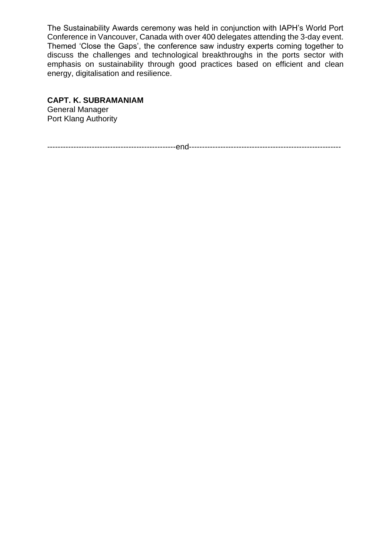The Sustainability Awards ceremony was held in conjunction with IAPH's World Port Conference in Vancouver, Canada with over 400 delegates attending the 3-day event. Themed 'Close the Gaps', the conference saw industry experts coming together to discuss the challenges and technological breakthroughs in the ports sector with emphasis on sustainability through good practices based on efficient and clean energy, digitalisation and resilience.

## **CAPT. K. SUBRAMANIAM**

General Manager Port Klang Authority

-------------------------------------------------end----------------------------------------------------------